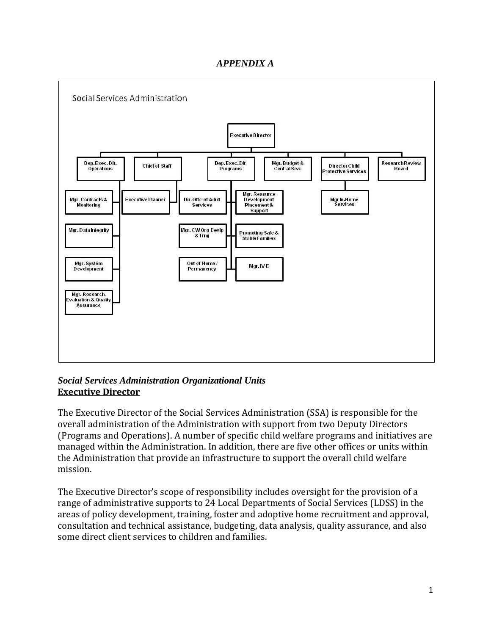# *APPENDIX A*



## *Social Services Administration Organizational Units* **Executive Director**

The Executive Director of the Social Services Administration (SSA) is responsible for the overall administration of the Administration with support from two Deputy Directors (Programs and Operations). A number of specific child welfare programs and initiatives are managed within the Administration. In addition, there are five other offices or units within the Administration that provide an infrastructure to support the overall child welfare mission.

The Executive Director's scope of responsibility includes oversight for the provision of a range of administrative supports to 24 Local Departments of Social Services (LDSS) in the areas of policy development, training, foster and adoptive home recruitment and approval, consultation and technical assistance, budgeting, data analysis, quality assurance, and also some direct client services to children and families.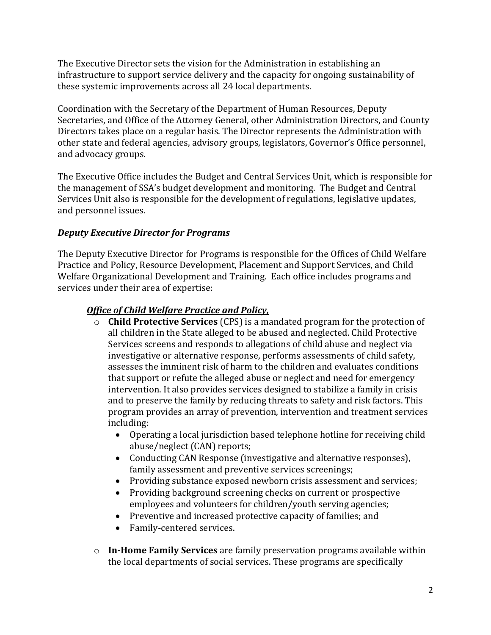The Executive Director sets the vision for the Administration in establishing an infrastructure to support service delivery and the capacity for ongoing sustainability of these systemic improvements across all 24 local departments.

Coordination with the Secretary of the Department of Human Resources, Deputy Secretaries, and Office of the Attorney General, other Administration Directors, and County Directors takes place on a regular basis. The Director represents the Administration with other state and federal agencies, advisory groups, legislators, Governor's Office personnel, and advocacy groups.

The Executive Office includes the Budget and Central Services Unit, which is responsible for the management of SSA's budget development and monitoring. The Budget and Central Services Unit also is responsible for the development of regulations, legislative updates, and personnel issues.

# *Deputy Executive Director for Programs*

The Deputy Executive Director for Programs is responsible for the Offices of Child Welfare Practice and Policy, Resource Development, Placement and Support Services, and Child Welfare Organizational Development and Training. Each office includes programs and services under their area of expertise:

# *Office of Child Welfare Practice and Policy,*

- o **Child Protective Services** (CPS) is a mandated program for the protection of all children in the State alleged to be abused and neglected. Child Protective Services screens and responds to allegations of child abuse and neglect via investigative or alternative response, performs assessments of child safety, assesses the imminent risk of harm to the children and evaluates conditions that support or refute the alleged abuse or neglect and need for emergency intervention. It also provides services designed to stabilize a family in crisis and to preserve the family by reducing threats to safety and risk factors. This program provides an array of prevention, intervention and treatment services including:
	- Operating a local jurisdiction based telephone hotline for receiving child abuse/neglect (CAN) reports;
	- Conducting CAN Response (investigative and alternative responses), family assessment and preventive services screenings;
	- Providing substance exposed newborn crisis assessment and services;
	- Providing background screening checks on current or prospective employees and volunteers for children/youth serving agencies;
	- Preventive and increased protective capacity of families; and
	- Family-centered services.
- o **In-Home Family Services** are family preservation programs available within the local departments of social services. These programs are specifically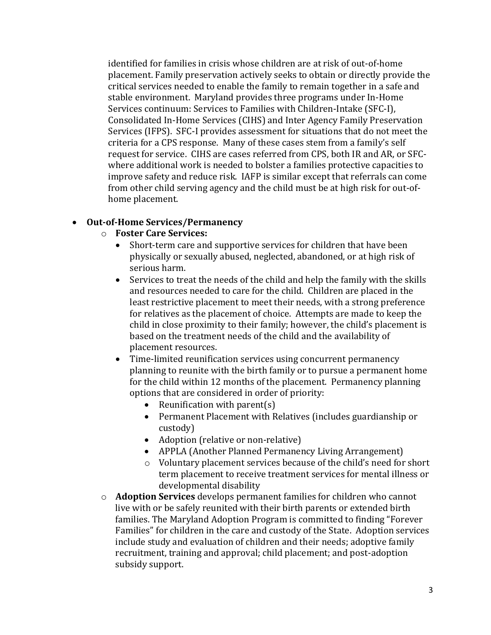identified for families in crisis whose children are at risk of out-of-home placement. Family preservation actively seeks to obtain or directly provide the critical services needed to enable the family to remain together in a safe and stable environment. Maryland provides three programs under In-Home Services continuum: Services to Families with Children-Intake (SFC-I), Consolidated In-Home Services (CIHS) and Inter Agency Family Preservation Services (IFPS). SFC-I provides assessment for situations that do not meet the criteria for a CPS response. Many of these cases stem from a family's self request for service. CIHS are cases referred from CPS, both IR and AR, or SFCwhere additional work is needed to bolster a families protective capacities to improve safety and reduce risk. IAFP is similar except that referrals can come from other child serving agency and the child must be at high risk for out-ofhome placement.

## **Out-of-Home Services/Permanency**

- o **Foster Care Services:**
	- Short-term care and supportive services for children that have been physically or sexually abused, neglected, abandoned, or at high risk of serious harm.
	- Services to treat the needs of the child and help the family with the skills and resources needed to care for the child. Children are placed in the least restrictive placement to meet their needs, with a strong preference for relatives as the placement of choice. Attempts are made to keep the child in close proximity to their family; however, the child's placement is based on the treatment needs of the child and the availability of placement resources.
	- Time-limited reunification services using concurrent permanency planning to reunite with the birth family or to pursue a permanent home for the child within 12 months of the placement. Permanency planning options that are considered in order of priority:
		- Reunification with parent $(s)$
		- Permanent Placement with Relatives (includes guardianship or custody)
		- Adoption (relative or non-relative)
		- APPLA (Another Planned Permanency Living Arrangement)
		- o Voluntary placement services because of the child's need for short term placement to receive treatment services for mental illness or developmental disability
- o **Adoption Services** develops permanent families for children who cannot live with or be safely reunited with their birth parents or extended birth families. The Maryland Adoption Program is committed to finding "Forever Families" for children in the care and custody of the State. Adoption services include study and evaluation of children and their needs; adoptive family recruitment, training and approval; child placement; and post-adoption subsidy support.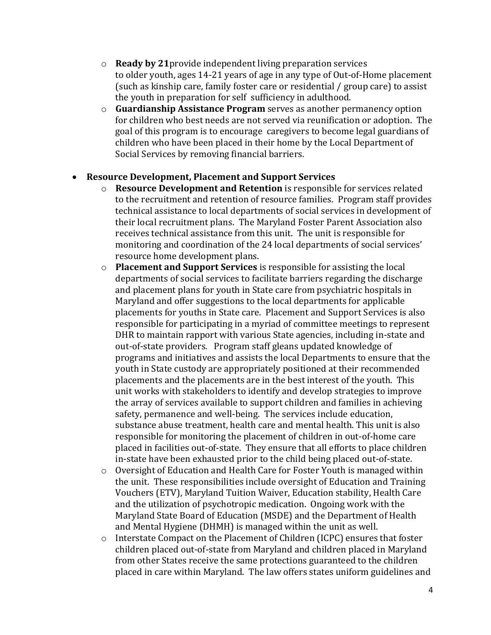- o **Ready by 21**provide independent living preparation services to older youth, ages 14-21 years of age in any type of Out-of-Home placement (such as kinship care, family foster care or residential / group care) to assist the youth in preparation for self sufficiency in adulthood.
- o **Guardianship Assistance Program** serves as another permanency option for children who best needs are not served via reunification or adoption. The goal of this program is to encourage caregivers to become legal guardians of children who have been placed in their home by the Local Department of Social Services by removing financial barriers.

### **Resource Development, Placement and Support Services**

- o **Resource Development and Retention** is responsible for services related to the recruitment and retention of resource families. Program staff provides technical assistance to local departments of social services in development of their local recruitment plans. The Maryland Foster Parent Association also receives technical assistance from this unit. The unit is responsible for monitoring and coordination of the 24 local departments of social services' resource home development plans.
- o **Placement and Support Services** is responsible for assisting the local departments of social services to facilitate barriers regarding the discharge and placement plans for youth in State care from psychiatric hospitals in Maryland and offer suggestions to the local departments for applicable placements for youths in State care. Placement and Support Services is also responsible for participating in a myriad of committee meetings to represent DHR to maintain rapport with various State agencies, including in-state and out-of-state providers. Program staff gleans updated knowledge of programs and initiatives and assists the local Departments to ensure that the youth in State custody are appropriately positioned at their recommended placements and the placements are in the best interest of the youth. This unit works with stakeholders to identify and develop strategies to improve the array of services available to support children and families in achieving safety, permanence and well-being. The services include education, substance abuse treatment, health care and mental health. This unit is also responsible for monitoring the placement of children in out-of-home care placed in facilities out-of-state. They ensure that all efforts to place children in-state have been exhausted prior to the child being placed out-of-state.
- o Oversight of Education and Health Care for Foster Youth is managed within the unit. These responsibilities include oversight of Education and Training Vouchers (ETV), Maryland Tuition Waiver, Education stability, Health Care and the utilization of psychotropic medication. Ongoing work with the Maryland State Board of Education (MSDE) and the Department of Health and Mental Hygiene (DHMH) is managed within the unit as well.
- o Interstate Compact on the Placement of Children (ICPC) ensures that foster children placed out-of-state from Maryland and children placed in Maryland from other States receive the same protections guaranteed to the children placed in care within Maryland. The law offers states uniform guidelines and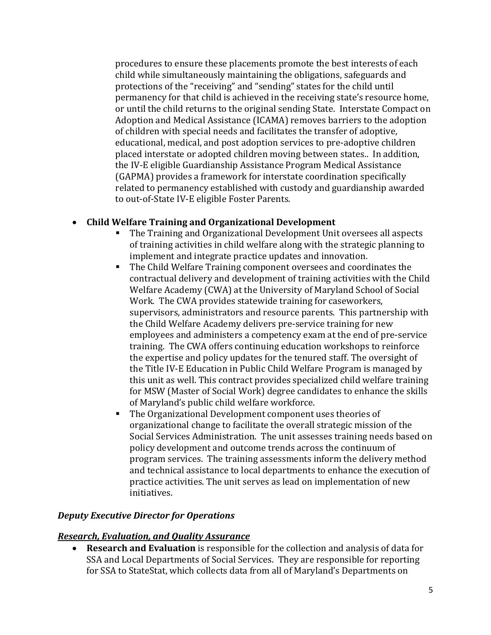procedures to ensure these placements promote the best interests of each child while simultaneously maintaining the obligations, safeguards and protections of the "receiving" and "sending" states for the child until permanency for that child is achieved in the receiving state's resource home, or until the child returns to the original sending State. Interstate Compact on Adoption and Medical Assistance (ICAMA) removes barriers to the adoption of children with special needs and facilitates the transfer of adoptive, educational, medical, and post adoption services to pre-adoptive children placed interstate or adopted children moving between states.. In addition, the IV-E eligible Guardianship Assistance Program Medical Assistance (GAPMA) provides a framework for interstate coordination specifically related to permanency established with custody and guardianship awarded to out-of-State IV-E eligible Foster Parents.

# **Child Welfare Training and Organizational Development**

- The Training and Organizational Development Unit oversees all aspects of training activities in child welfare along with the strategic planning to implement and integrate practice updates and innovation.
- The Child Welfare Training component oversees and coordinates the contractual delivery and development of training activities with the Child Welfare Academy (CWA) at the University of Maryland School of Social Work. The CWA provides statewide training for caseworkers, supervisors, administrators and resource parents. This partnership with the Child Welfare Academy delivers pre-service training for new employees and administers a competency exam at the end of pre-service training. The CWA offers continuing education workshops to reinforce the expertise and policy updates for the tenured staff. The oversight of the Title IV-E Education in Public Child Welfare Program is managed by this unit as well. This contract provides specialized child welfare training for MSW (Master of Social Work) degree candidates to enhance the skills of Maryland's public child welfare workforce.
- The Organizational Development component uses theories of organizational change to facilitate the overall strategic mission of the Social Services Administration. The unit assesses training needs based on policy development and outcome trends across the continuum of program services. The training assessments inform the delivery method and technical assistance to local departments to enhance the execution of practice activities. The unit serves as lead on implementation of new initiatives.

## *Deputy Executive Director for Operations*

## *Research, Evaluation, and Quality Assurance*

 **Research and Evaluation** is responsible for the collection and analysis of data for SSA and Local Departments of Social Services. They are responsible for reporting for SSA to StateStat, which collects data from all of Maryland's Departments on